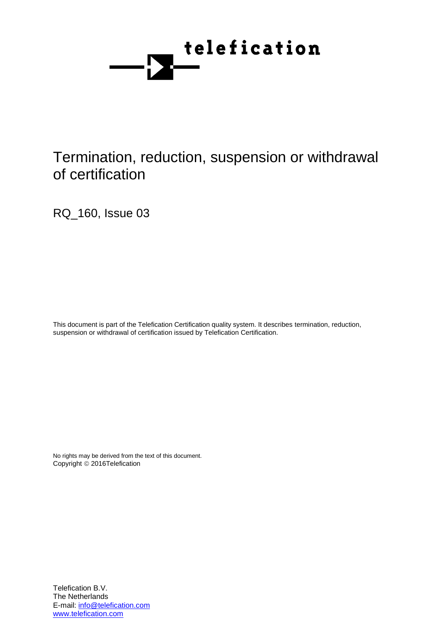

# Termination, reduction, suspension or withdrawal of certification

RQ\_160, Issue 03

This document is part of the Telefication Certification quality system. It describes termination, reduction, suspension or withdrawal of certification issued by Telefication Certification.

No rights may be derived from the text of this document. Copyright © 2016Telefication

Telefication B.V. The Netherlands E-mail: info@telefication.com www.telefication.com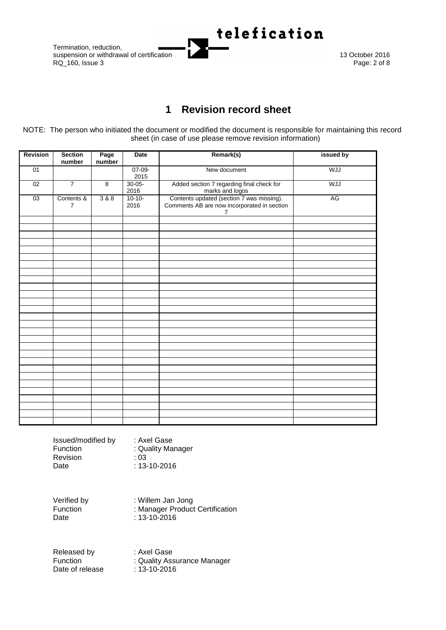Termination, reduction,  $RQ$  160, Issue 3



# **1 Revision record sheet**

<span id="page-1-0"></span>NOTE: The person who initiated the document or modified the document is responsible for maintaining this record sheet (in case of use please remove revision information)

| <b>Revision</b> | <b>Section</b><br>number     | Page<br>number | <b>Date</b>         | Remark(s)                                                                                                  | issued by  |
|-----------------|------------------------------|----------------|---------------------|------------------------------------------------------------------------------------------------------------|------------|
| 01              |                              |                | $07-09-$<br>2015    | New document                                                                                               | <b>WJJ</b> |
| 02              | $\overline{7}$               | $\overline{8}$ | $30 - 05 -$<br>2016 | Added section 7 regarding final check for<br>marks and logos                                               | <b>WJJ</b> |
| 03              | Contents &<br>$\overline{7}$ | $388$          | $10-10-$<br>2016    | Contents updated (section 7 was missing).<br>Comments AB are now incorporated in section<br>$\overline{7}$ | AG         |
|                 |                              |                |                     |                                                                                                            |            |
|                 |                              |                |                     |                                                                                                            |            |
|                 |                              |                |                     |                                                                                                            |            |
|                 |                              |                |                     |                                                                                                            |            |
|                 |                              |                |                     |                                                                                                            |            |
|                 |                              |                |                     |                                                                                                            |            |
|                 |                              |                |                     |                                                                                                            |            |
|                 |                              |                |                     |                                                                                                            |            |
|                 |                              |                |                     |                                                                                                            |            |
|                 |                              |                |                     |                                                                                                            |            |
|                 |                              |                |                     |                                                                                                            |            |
|                 |                              |                |                     |                                                                                                            |            |
|                 |                              |                |                     |                                                                                                            |            |
|                 |                              |                |                     |                                                                                                            |            |
|                 |                              |                |                     |                                                                                                            |            |
|                 |                              |                |                     |                                                                                                            |            |
|                 |                              |                |                     |                                                                                                            |            |
|                 |                              |                |                     |                                                                                                            |            |
|                 |                              |                |                     |                                                                                                            |            |
|                 |                              |                |                     |                                                                                                            |            |
|                 |                              |                |                     |                                                                                                            |            |
|                 |                              |                |                     |                                                                                                            |            |
|                 |                              |                |                     |                                                                                                            |            |
|                 |                              |                |                     |                                                                                                            |            |
|                 |                              |                |                     |                                                                                                            |            |
|                 |                              |                |                     |                                                                                                            |            |
|                 |                              |                |                     |                                                                                                            |            |

Issued/modified by : Axel Gase Function : Quality Manager<br>Revision : 03 **Revision** Date : 13-10-2016

Verified by : Willem Jan Jong<br>Function : Manager Product Function : Manager Product Certification<br>Date : 13-10-2016

 $: 13 - 10 - 2016$ 

Released by : Axel Gase Function : Quality Assurance Manager Date of release : 13-10-2016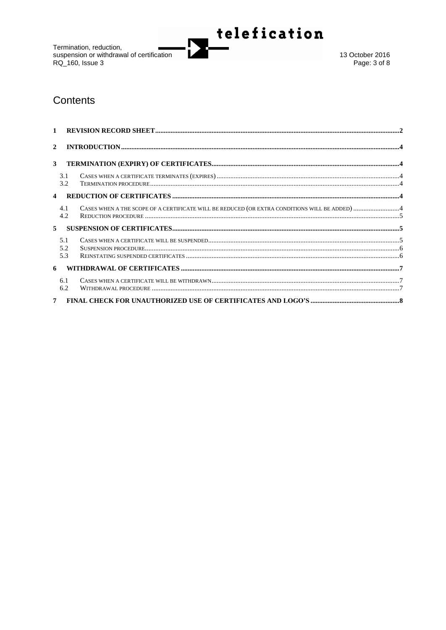Termination, reduction,<br>suspension or withdrawal of certification<br>RQ\_160, Issue 3



13 October 2016 Page: 3 of 8

## Contents

| $\mathbf{1}$   |                  |                                                                                               |  |
|----------------|------------------|-----------------------------------------------------------------------------------------------|--|
| $\overline{2}$ |                  |                                                                                               |  |
| 3              |                  |                                                                                               |  |
|                | 3.1<br>3.2       |                                                                                               |  |
|                |                  |                                                                                               |  |
|                | 4.1<br>4.2       | CASES WHEN A THE SCOPE OF A CERTIFICATE WILL BE REDUCED (OR EXTRA CONDITIONS WILL BE ADDED) 4 |  |
| 5              |                  |                                                                                               |  |
|                | 51<br>5.2<br>5.3 |                                                                                               |  |
|                | 6                |                                                                                               |  |
|                | 6.1<br>6.2       |                                                                                               |  |
|                | 7 <sup>7</sup>   |                                                                                               |  |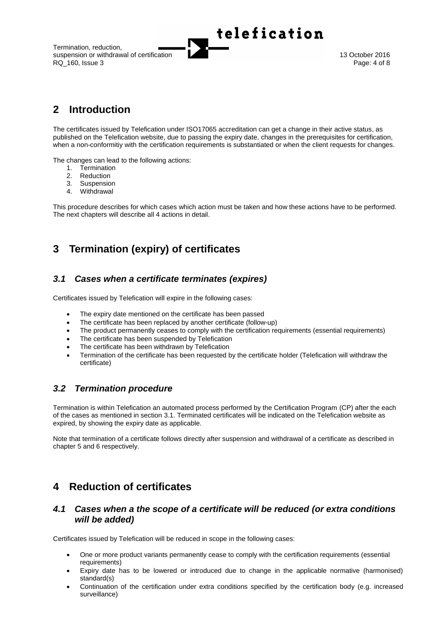Termination, reduction, suspension or withdrawal of certification 13 October 2016<br>RQ 160. Issue 3 Page: 4 of 8 RQ 160, Issue 3



telefication

# <span id="page-3-0"></span>**2 Introduction**

The certificates issued by Telefication under ISO17065 accreditation can get a change in their active status, as published on the Telefication website, due to passing the expiry date, changes in the prerequisites for certification, when a non-conformitiy with the certification requirements is substantiated or when the client requests for changes.

The changes can lead to the following actions:

- 1. Termination
- 2. Reduction
- 3. Suspension
- 4. Withdrawal

This procedure describes for which cases which action must be taken and how these actions have to be performed. The next chapters will describe all 4 actions in detail.

# <span id="page-3-1"></span>**3 Termination (expiry) of certificates**

### <span id="page-3-2"></span>*3.1 Cases when a certificate terminates (expires)*

Certificates issued by Telefication will expire in the following cases:

- The expiry date mentioned on the certificate has been passed
- The certificate has been replaced by another certificate (follow-up)
- The product permanently ceases to comply with the certification requirements (essential requirements)
- The certificate has been suspended by Telefication
- The certificate has been withdrawn by Telefication
- Termination of the certificate has been requested by the certificate holder (Telefication will withdraw the certificate)

### <span id="page-3-3"></span>*3.2 Termination procedure*

Termination is within Telefication an automated process performed by the Certification Program (CP) after the each of the cases as mentioned in section [3.1.](#page-3-2) Terminated certificates will be indicated on the Telefication website as expired, by showing the expiry date as applicable.

Note that termination of a certificate follows directly after suspension and withdrawal of a certificate as described in chapte[r 5](#page-4-1) an[d 6](#page-6-0) respectively.

## <span id="page-3-4"></span>**4 Reduction of certificates**

### <span id="page-3-5"></span>*4.1 Cases when a the scope of a certificate will be reduced (or extra conditions will be added)*

Certificates issued by Telefication will be reduced in scope in the following cases:

- One or more product variants permanently cease to comply with the certification requirements (essential requirements)
- Expiry date has to be lowered or introduced due to change in the applicable normative (harmonised) standard(s)
- Continuation of the certification under extra conditions specified by the certification body (e.g. increased surveillance)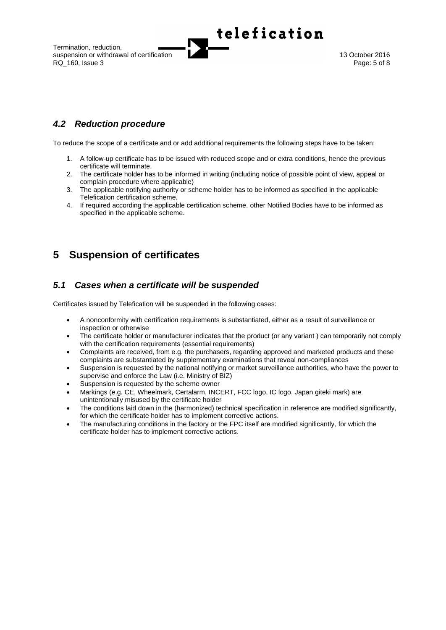Termination, reduction, suspension or withdrawal of certification **13 October 2016** 13 October 2016<br>RQ 160, Issue 3 **Page:** 5 of 8 RQ 160, Issue 3



## <span id="page-4-0"></span>*4.2 Reduction procedure*

To reduce the scope of a certificate and or add additional requirements the following steps have to be taken:

- 1. A follow-up certificate has to be issued with reduced scope and or extra conditions, hence the previous certificate will terminate.
- 2. The certificate holder has to be informed in writing (including notice of possible point of view, appeal or complain procedure where applicable)
- 3. The applicable notifying authority or scheme holder has to be informed as specified in the applicable Telefication certification scheme.
- 4. If required according the applicable certification scheme, other Notified Bodies have to be informed as specified in the applicable scheme.

# <span id="page-4-1"></span>**5 Suspension of certificates**

## <span id="page-4-2"></span>*5.1 Cases when a certificate will be suspended*

Certificates issued by Telefication will be suspended in the following cases:

- A nonconformity with certification requirements is substantiated, either as a result of surveillance or inspection or otherwise
- The certificate holder or manufacturer indicates that the product (or any variant) can temporarily not comply with the certification requirements (essential requirements)
- Complaints are received, from e.g. the purchasers, regarding approved and marketed products and these complaints are substantiated by supplementary examinations that reveal non-compliances
- Suspension is requested by the national notifying or market surveillance authorities, who have the power to supervise and enforce the Law (i.e. Ministry of BIZ)
- Suspension is requested by the scheme owner
- Markings (e.g. CE, Wheelmark, Certalarm, INCERT, FCC logo, IC logo, Japan giteki mark) are unintentionally misused by the certificate holder
- The conditions laid down in the (harmonized) technical specification in reference are modified significantly, for which the certificate holder has to implement corrective actions.
- The manufacturing conditions in the factory or the FPC itself are modified significantly, for which the certificate holder has to implement corrective actions.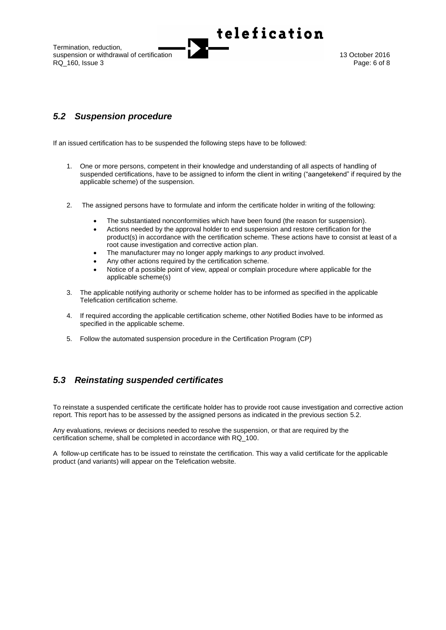Termination, reduction, suspension or withdrawal of certification **13 October 2016** 13 October 2016<br>RQ 160, Issue 3 **Page: 6** of 8 RQ 160, Issue 3



## <span id="page-5-0"></span>*5.2 Suspension procedure*

If an issued certification has to be suspended the following steps have to be followed:

1. One or more persons, competent in their knowledge and understanding of all aspects of handling of suspended certifications, have to be assigned to inform the client in writing ("aangetekend" if required by the applicable scheme) of the suspension.

telefication

- 2. The assigned persons have to formulate and inform the certificate holder in writing of the following:
	- The substantiated nonconformities which have been found (the reason for suspension).
	- Actions needed by the approval holder to end suspension and restore certification for the product(s) in accordance with the certification scheme. These actions have to consist at least of a root cause investigation and corrective action plan.
	- The manufacturer may no longer apply markings to *any* product involved.
	- Any other actions required by the certification scheme.
	- Notice of a possible point of view, appeal or complain procedure where applicable for the applicable scheme(s)
- 3. The applicable notifying authority or scheme holder has to be informed as specified in the applicable Telefication certification scheme.
- 4. If required according the applicable certification scheme, other Notified Bodies have to be informed as specified in the applicable scheme.
- 5. Follow the automated suspension procedure in the Certification Program (CP)

### <span id="page-5-1"></span>*5.3 Reinstating suspended certificates*

To reinstate a suspended certificate the certificate holder has to provide root cause investigation and corrective action report. This report has to be assessed by the assigned persons as indicated in the previous section [5.2.](#page-5-0)

Any evaluations, reviews or decisions needed to resolve the suspension, or that are required by the certification scheme, shall be completed in accordance with RQ\_100.

A follow-up certificate has to be issued to reinstate the certification. This way a valid certificate for the applicable product (and variants) will appear on the Telefication website.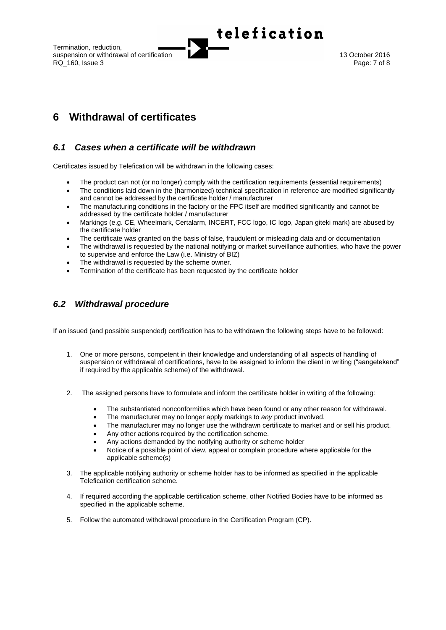Termination, reduction, suspension or withdrawal of certification **13 October 2016** 13 October 2016<br>RQ 160, Issue 3 **Page: 7 of 8** RQ 160, Issue 3



# <span id="page-6-0"></span>**6 Withdrawal of certificates**

## <span id="page-6-1"></span>*6.1 Cases when a certificate will be withdrawn*

Certificates issued by Telefication will be withdrawn in the following cases:

- The product can not (or no longer) comply with the certification requirements (essential requirements)
- The conditions laid down in the (harmonized) technical specification in reference are modified significantly and cannot be addressed by the certificate holder / manufacturer

telefication

- The manufacturing conditions in the factory or the FPC itself are modified significantly and cannot be addressed by the certificate holder / manufacturer
- Markings (e.g. CE, Wheelmark, Certalarm, INCERT, FCC logo, IC logo, Japan giteki mark) are abused by the certificate holder
- The certificate was granted on the basis of false, fraudulent or misleading data and or documentation
- The withdrawal is requested by the national notifying or market surveillance authorities, who have the power to supervise and enforce the Law (i.e. Ministry of BIZ)
- The withdrawal is requested by the scheme owner.
- Termination of the certificate has been requested by the certificate holder

## <span id="page-6-2"></span>*6.2 Withdrawal procedure*

If an issued (and possible suspended) certification has to be withdrawn the following steps have to be followed:

- 1. One or more persons, competent in their knowledge and understanding of all aspects of handling of suspension or withdrawal of certifications, have to be assigned to inform the client in writing ("aangetekend" if required by the applicable scheme) of the withdrawal.
- 2. The assigned persons have to formulate and inform the certificate holder in writing of the following:
	- The substantiated nonconformities which have been found or any other reason for withdrawal.
	- The manufacturer may no longer apply markings to *any* product involved.
	- The manufacturer may no longer use the withdrawn certificate to market and or sell his product.
	- Any other actions required by the certification scheme.
	- Any actions demanded by the notifying authority or scheme holder
	- Notice of a possible point of view, appeal or complain procedure where applicable for the applicable scheme(s)
- 3. The applicable notifying authority or scheme holder has to be informed as specified in the applicable Telefication certification scheme.
- 4. If required according the applicable certification scheme, other Notified Bodies have to be informed as specified in the applicable scheme.
- 5. Follow the automated withdrawal procedure in the Certification Program (CP).